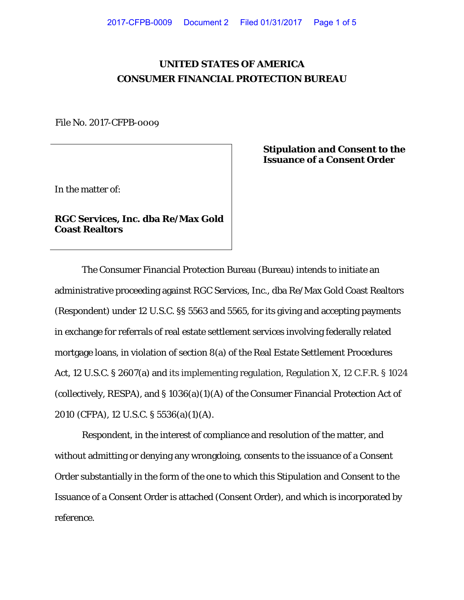# **UNITED STATES OF AMERICA CONSUMER FINANCIAL PROTECTION BUREAU**

File No. 2017-CFPB-0009

In the matter of:

**RGC Services, Inc. dba Re/Max Gold Coast Realtors**

**Stipulation and Consent to the Issuance of a Consent Order**

The Consumer Financial Protection Bureau (Bureau) intends to initiate an administrative proceeding against RGC Services, Inc., dba Re/Max Gold Coast Realtors (Respondent) under 12 U.S.C. §§ 5563 and 5565, for its giving and accepting payments in exchange for referrals of real estate settlement services involving federally related mortgage loans, in violation of section 8(a) of the Real Estate Settlement Procedures Act, 12 U.S.C. § 2607(a) and its implementing regulation, Regulation X, 12 C.F.R. § 1024 (collectively, RESPA), and § 1036(a)(1)(A) of the Consumer Financial Protection Act of 2010 (CFPA), 12 U.S.C. § 5536(a)(1)(A).

Respondent, in the interest of compliance and resolution of the matter, and without admitting or denying any wrongdoing, consents to the issuance of a Consent Order substantially in the form of the one to which this Stipulation and Consent to the Issuance of a Consent Order is attached (Consent Order), and which is incorporated by reference.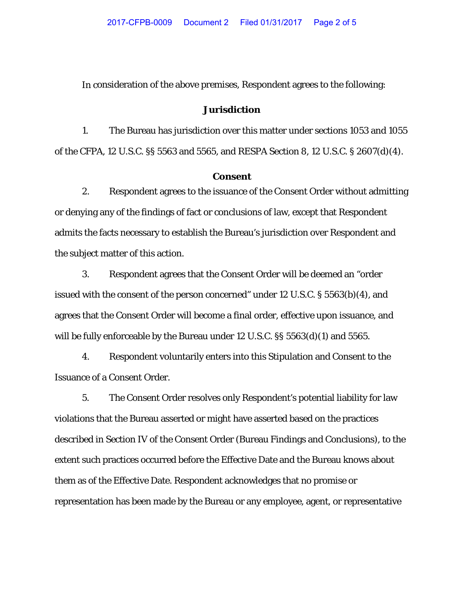In consideration of the above premises, Respondent agrees to the following:

### **Jurisdiction**

1. The Bureau has jurisdiction over this matter under sections 1053 and 1055 of the CFPA, 12 U.S.C. §§ 5563 and 5565, and RESPA Section 8, 12 U.S.C. § 2607(d)(4).

## **Consent**

2. Respondent agrees to the issuance of the Consent Order without admitting or denying any of the findings of fact or conclusions of law, except that Respondent admits the facts necessary to establish the Bureau's jurisdiction over Respondent and the subject matter of this action.

3. Respondent agrees that the Consent Order will be deemed an "order issued with the consent of the person concerned" under 12 U.S.C. § 5563(b)(4), and agrees that the Consent Order will become a final order, effective upon issuance, and will be fully enforceable by the Bureau under 12 U.S.C. §§ 5563(d)(1) and 5565.

4. Respondent voluntarily enters into this Stipulation and Consent to the Issuance of a Consent Order.

5. The Consent Order resolves only Respondent's potential liability for law violations that the Bureau asserted or might have asserted based on the practices described in Section IV of the Consent Order (Bureau Findings and Conclusions), to the extent such practices occurred before the Effective Date and the Bureau knows about them as of the Effective Date. Respondent acknowledges that no promise or representation has been made by the Bureau or any employee, agent, or representative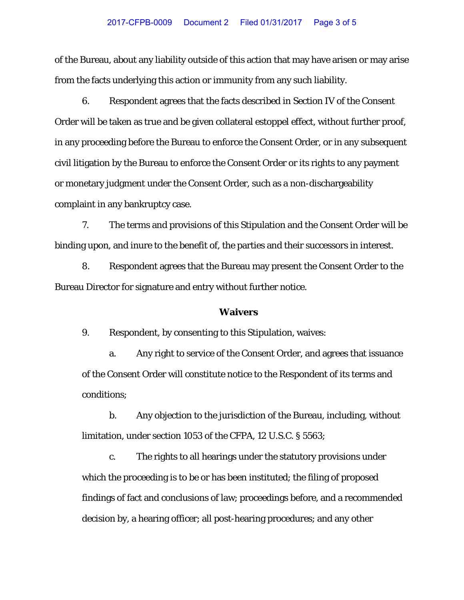#### 2017-CFPB-0009 Document 2 Filed 01/31/2017 Page 3 of 5

of the Bureau, about any liability outside of this action that may have arisen or may arise from the facts underlying this action or immunity from any such liability.

6. Respondent agrees that the facts described in Section IV of the Consent Order will be taken as true and be given collateral estoppel effect, without further proof, in any proceeding before the Bureau to enforce the Consent Order, or in any subsequent civil litigation by the Bureau to enforce the Consent Order or its rights to any payment or monetary judgment under the Consent Order, such as a non-dischargeability complaint in any bankruptcy case.

7. The terms and provisions of this Stipulation and the Consent Order will be binding upon, and inure to the benefit of, the parties and their successors in interest.

8. Respondent agrees that the Bureau may present the Consent Order to the Bureau Director for signature and entry without further notice.

#### **Waivers**

9. Respondent, by consenting to this Stipulation, waives:

a. Any right to service of the Consent Order, and agrees that issuance of the Consent Order will constitute notice to the Respondent of its terms and conditions;

b. Any objection to the jurisdiction of the Bureau, including, without limitation, under section 1053 of the CFPA, 12 U.S.C. § 5563;

c. The rights to all hearings under the statutory provisions under which the proceeding is to be or has been instituted; the filing of proposed findings of fact and conclusions of law; proceedings before, and a recommended decision by, a hearing officer; all post-hearing procedures; and any other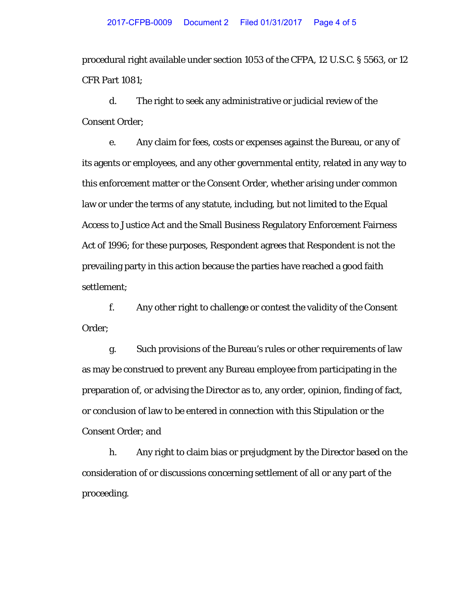procedural right available under section 1053 of the CFPA, 12 U.S.C. § 5563, or 12 CFR Part 1081;

d. The right to seek any administrative or judicial review of the Consent Order;

e. Any claim for fees, costs or expenses against the Bureau, or any of its agents or employees, and any other governmental entity, related in any way to this enforcement matter or the Consent Order, whether arising under common law or under the terms of any statute, including, but not limited to the Equal Access to Justice Act and the Small Business Regulatory Enforcement Fairness Act of 1996; for these purposes, Respondent agrees that Respondent is not the prevailing party in this action because the parties have reached a good faith settlement;

f. Any other right to challenge or contest the validity of the Consent Order;

g. Such provisions of the Bureau's rules or other requirements of law as may be construed to prevent any Bureau employee from participating in the preparation of, or advising the Director as to, any order, opinion, finding of fact, or conclusion of law to be entered in connection with this Stipulation or the Consent Order; and

h. Any right to claim bias or prejudgment by the Director based on the consideration of or discussions concerning settlement of all or any part of the proceeding.